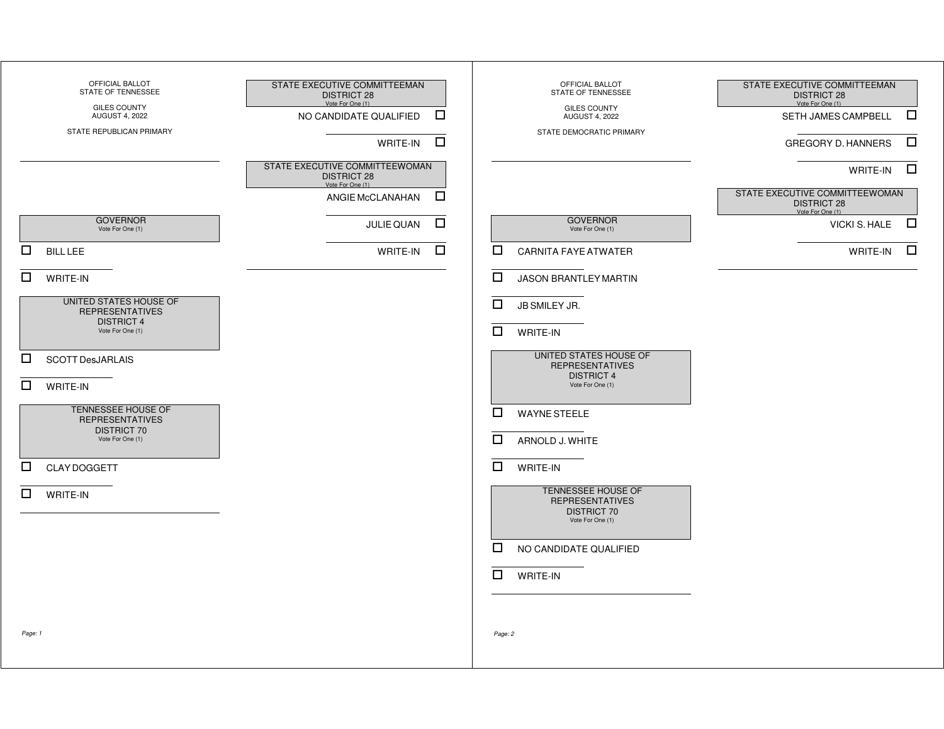| OFFICIAL BALLOT<br>STATE OF TENNESSEE<br><b>GILES COUNTY</b><br><b>AUGUST 4, 2022</b><br>STATE REPUBLICAN PRIMARY | STATE EXECUTIVE COMMITTEEMAN<br><b>DISTRICT 28</b><br>Vote For One (1)<br>$\Box$<br>NO CANDIDATE QUALIFIED<br>$\Box$<br>WRITE-IN<br>STATE EXECUTIVE COMMITTEEWOMAN<br><b>DISTRICT 28</b><br>Vote For One (1)<br>$\Box$<br>ANGIE McCLANAHAN | OFFICIAL BALLOT<br>STATE OF TENNESSEE<br><b>GILES COUNTY</b><br><b>AUGUST 4, 2022</b><br>STATE DEMOCRATIC PRIMARY | STATE EXECUTIVE COMMITTEEMAN<br><b>DISTRICT 28</b><br>Vote For One (1)<br>$\Box$<br>SETH JAMES CAMPBELL<br>$\Box$<br><b>GREGORY D. HANNERS</b><br>$\Box$<br>WRITE-IN<br>STATE EXECUTIVE COMMITTEEWOMAN<br><b>DISTRICT 28</b> |
|-------------------------------------------------------------------------------------------------------------------|--------------------------------------------------------------------------------------------------------------------------------------------------------------------------------------------------------------------------------------------|-------------------------------------------------------------------------------------------------------------------|------------------------------------------------------------------------------------------------------------------------------------------------------------------------------------------------------------------------------|
| <b>GOVERNOR</b><br>Vote For One (1)                                                                               | $\Box$<br>JULIE QUAN                                                                                                                                                                                                                       | <b>GOVERNOR</b><br>Vote For One (1)                                                                               | Vote For One (1)<br>$\Box$<br>VICKI S. HALE                                                                                                                                                                                  |
| $\Box$<br><b>BILL LEE</b>                                                                                         | $\Box$<br>WRITE-IN                                                                                                                                                                                                                         | $\Box$<br><b>CARNITA FAYE ATWATER</b>                                                                             | $\Box$<br>WRITE-IN                                                                                                                                                                                                           |
| $\Box$<br>WRITE-IN                                                                                                |                                                                                                                                                                                                                                            | $\Box$<br>JASON BRANTLEY MARTIN                                                                                   |                                                                                                                                                                                                                              |
| UNITED STATES HOUSE OF<br><b>REPRESENTATIVES</b><br><b>DISTRICT 4</b><br>Vote For One (1)                         |                                                                                                                                                                                                                                            | $\Box$<br>JB SMILEY JR.<br>$\Box$<br>WRITE-IN                                                                     |                                                                                                                                                                                                                              |
| $\Box$<br><b>SCOTT DesJARLAIS</b><br>$\Box$<br><b>WRITE-IN</b>                                                    |                                                                                                                                                                                                                                            | UNITED STATES HOUSE OF<br><b>REPRESENTATIVES</b><br><b>DISTRICT 4</b><br>Vote For One (1)                         |                                                                                                                                                                                                                              |
| TENNESSEE HOUSE OF<br><b>REPRESENTATIVES</b><br><b>DISTRICT 70</b><br>Vote For One (1)                            |                                                                                                                                                                                                                                            | $\Box$<br><b>WAYNE STEELE</b><br>$\Box$<br>ARNOLD J. WHITE                                                        |                                                                                                                                                                                                                              |
| $\Box$<br>CLAY DOGGETT                                                                                            |                                                                                                                                                                                                                                            | $\Box$<br>WRITE-IN                                                                                                |                                                                                                                                                                                                                              |
| $\Box$<br>WRITE-IN                                                                                                |                                                                                                                                                                                                                                            | TENNESSEE HOUSE OF<br><b>REPRESENTATIVES</b><br><b>DISTRICT 70</b><br>Vote For One (1)                            |                                                                                                                                                                                                                              |
|                                                                                                                   |                                                                                                                                                                                                                                            | $\Box$<br>NO CANDIDATE QUALIFIED<br>$\Box$<br><b>WRITE-IN</b>                                                     |                                                                                                                                                                                                                              |
| Page: 1                                                                                                           |                                                                                                                                                                                                                                            | Page: 2                                                                                                           |                                                                                                                                                                                                                              |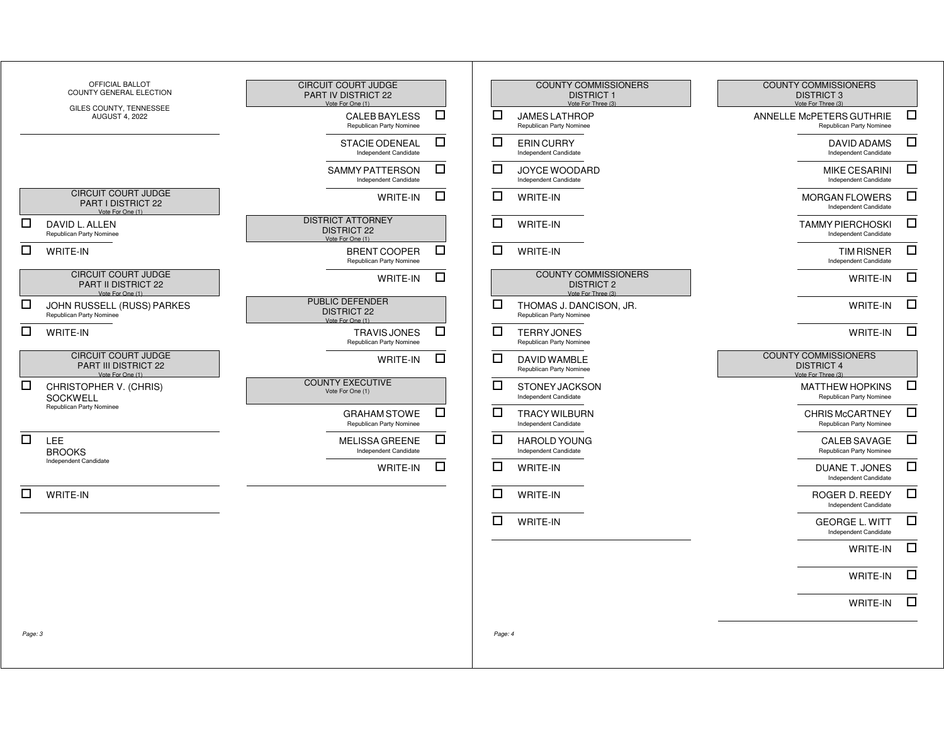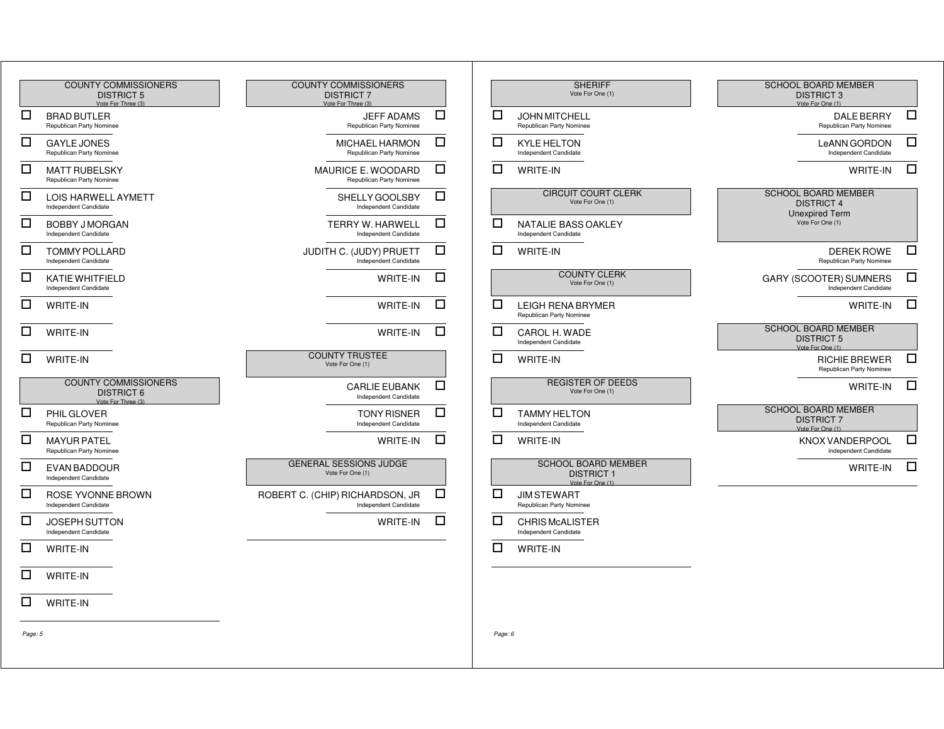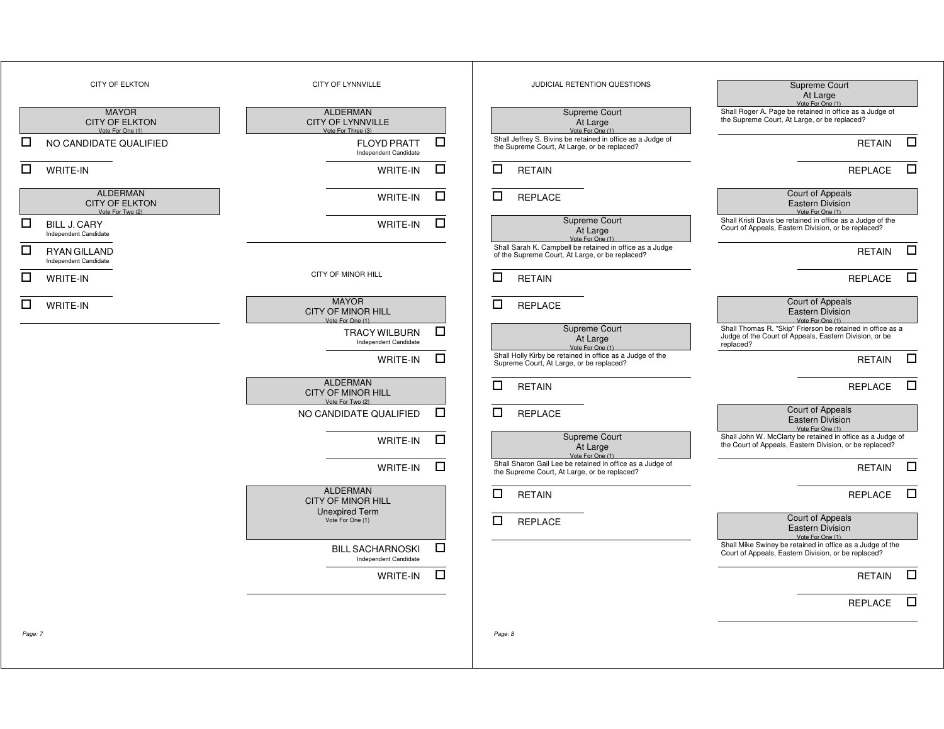|         | <b>CITY OF ELKTON</b>                                        | CITY OF LYNNVILLE                                                 |        | JUDICIAL RETENTION QUESTIONS                                                                                | Supreme Court<br>At Large<br>Vote For One (1)                                                                                     |
|---------|--------------------------------------------------------------|-------------------------------------------------------------------|--------|-------------------------------------------------------------------------------------------------------------|-----------------------------------------------------------------------------------------------------------------------------------|
|         | <b>MAYOR</b><br><b>CITY OF ELKTON</b><br>Vote For One (1)    | <b>ALDERMAN</b><br><b>CITY OF LYNNVILLE</b><br>Vote For Three (3) |        | Supreme Court<br>At Large<br>Vote For One (1)                                                               | Shall Roger A. Page be retained in office as a Judge of<br>the Supreme Court, At Large, or be replaced?                           |
| □       | NO CANDIDATE QUALIFIED                                       | <b>FLOYD PRATT</b><br>Independent Candidate                       | $\Box$ | Shall Jeffrey S. Bivins be retained in office as a Judge of<br>the Supreme Court, At Large, or be replaced? | $\Box$<br><b>RETAIN</b>                                                                                                           |
| □       | WRITE-IN                                                     | WRITE-IN                                                          | □      | □<br><b>RETAIN</b>                                                                                          | $\Box$<br><b>REPLACE</b>                                                                                                          |
|         | <b>ALDERMAN</b><br><b>CITY OF ELKTON</b><br>Vote For Two (2) | WRITE-IN                                                          | □      | □<br><b>REPLACE</b>                                                                                         | <b>Court of Appeals</b><br><b>Eastern Division</b><br>Vote For One (1)                                                            |
| □       | <b>BILL J. CARY</b><br>Independent Candidate                 | WRITE-IN                                                          | □      | Supreme Court<br>At Large<br>Vote For One (1)                                                               | Shall Kristi Davis be retained in office as a Judge of the<br>Court of Appeals, Eastern Division, or be replaced?                 |
| □       | <b>RYAN GILLAND</b><br>Independent Candidate                 |                                                                   |        | Shall Sarah K. Campbell be retained in office as a Judge<br>of the Supreme Court, At Large, or be replaced? | $\Box$<br><b>RETAIN</b>                                                                                                           |
| □       | WRITE-IN                                                     | CITY OF MINOR HILL                                                |        | □<br><b>RETAIN</b>                                                                                          | $\Box$<br><b>REPLACE</b>                                                                                                          |
| □       | WRITE-IN                                                     | <b>MAYOR</b><br><b>CITY OF MINOR HILL</b><br>Vote For One (1)     |        | □<br><b>REPLACE</b>                                                                                         | Court of Appeals<br><b>Eastern Division</b><br>Vote For One (1)                                                                   |
|         |                                                              | <b>TRACY WILBURN</b><br>Independent Candidate                     | □      | Supreme Court<br>At Large<br>Vote For One (1)                                                               | Shall Thomas R. "Skip" Frierson be retained in office as a<br>Judge of the Court of Appeals, Eastern Division, or be<br>replaced? |
|         |                                                              | WRITE-IN                                                          | □      | Shall Holly Kirby be retained in office as a Judge of the<br>Supreme Court, At Large, or be replaced?       | $\Box$<br><b>RETAIN</b>                                                                                                           |
|         |                                                              | <b>ALDERMAN</b><br><b>CITY OF MINOR HILL</b><br>Vote For Two (2)  |        | □<br><b>RETAIN</b>                                                                                          | $\Box$<br><b>REPLACE</b>                                                                                                          |
|         |                                                              | NO CANDIDATE QUALIFIED                                            | □      | □<br><b>REPLACE</b>                                                                                         | Court of Appeals<br><b>Eastern Division</b><br>Vote For One (1)                                                                   |
|         |                                                              | WRITE-IN                                                          | $\Box$ | Supreme Court<br>At Large<br>Vote For One (1)                                                               | Shall John W. McClarty be retained in office as a Judge of<br>the Court of Appeals, Eastern Division, or be replaced?             |
|         |                                                              | WRITE-IN                                                          | $\Box$ | Shall Sharon Gail Lee be retained in office as a Judge of<br>the Supreme Court, At Large, or be replaced?   | $\Box$<br><b>RETAIN</b>                                                                                                           |
|         |                                                              | <b>ALDERMAN</b><br><b>CITY OF MINOR HILL</b>                      |        | $\Box$<br><b>RETAIN</b>                                                                                     | $\Box$<br>REPLACE                                                                                                                 |
|         |                                                              | <b>Unexpired Term</b><br>Vote For One (1)                         |        | □<br><b>REPLACE</b>                                                                                         | Court of Appeals<br>Eastern Division<br>Vote For One (1)                                                                          |
|         |                                                              | <b>BILL SACHARNOSKI</b><br>Independent Candidate                  | □      |                                                                                                             | Shall Mike Swiney be retained in office as a Judge of the<br>Court of Appeals, Eastern Division, or be replaced?                  |
|         |                                                              | $W$ RITE-IN $\square$                                             |        |                                                                                                             | $RETAIN$ $\square$                                                                                                                |
|         |                                                              |                                                                   |        |                                                                                                             | $\Box$<br>REPLACE                                                                                                                 |
| Page: 7 |                                                              |                                                                   |        | Page: 8                                                                                                     |                                                                                                                                   |
|         |                                                              |                                                                   |        |                                                                                                             |                                                                                                                                   |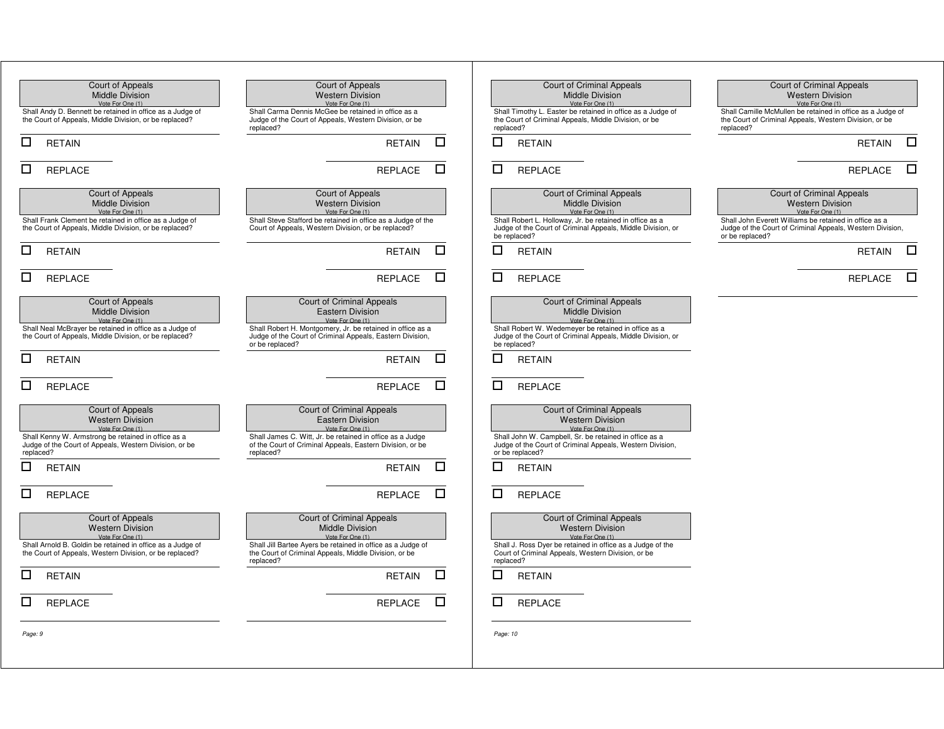| Court of Appeals                                                                                                      | Court of Appeals                                                                                                                           | Court of Criminal Appeals                                                                                                               | Court of Criminal Appeals                                                                                                              |
|-----------------------------------------------------------------------------------------------------------------------|--------------------------------------------------------------------------------------------------------------------------------------------|-----------------------------------------------------------------------------------------------------------------------------------------|----------------------------------------------------------------------------------------------------------------------------------------|
| <b>Middle Division</b>                                                                                                | <b>Western Division</b>                                                                                                                    | <b>Middle Division</b>                                                                                                                  | <b>Western Division</b>                                                                                                                |
| Vote For One (1)                                                                                                      | Vote For One (1)                                                                                                                           | Vote For One (1)                                                                                                                        | Vote For One (1)                                                                                                                       |
| Shall Andy D. Bennett be retained in office as a Judge of<br>the Court of Appeals, Middle Division, or be replaced?   | Shall Carma Dennis McGee be retained in office as a<br>Judge of the Court of Appeals, Western Division, or be<br>replaced?                 | Shall Timothy L. Easter be retained in office as a Judge of<br>the Court of Criminal Appeals, Middle Division, or be<br>replaced?       | Shall Camille McMullen be retained in office as a Judge of<br>the Court of Criminal Appeals, Western Division, or be<br>replaced?      |
| □                                                                                                                     | □                                                                                                                                          | □                                                                                                                                       | $\Box$                                                                                                                                 |
| <b>RETAIN</b>                                                                                                         | <b>RETAIN</b>                                                                                                                              | <b>RETAIN</b>                                                                                                                           | <b>RETAIN</b>                                                                                                                          |
| □                                                                                                                     | □                                                                                                                                          | □                                                                                                                                       | □                                                                                                                                      |
| REPLACE                                                                                                               | REPLACE                                                                                                                                    | <b>REPLACE</b>                                                                                                                          | <b>REPLACE</b>                                                                                                                         |
| Court of Appeals                                                                                                      | Court of Appeals                                                                                                                           | <b>Court of Criminal Appeals</b>                                                                                                        | <b>Court of Criminal Appeals</b>                                                                                                       |
| <b>Middle Division</b>                                                                                                | <b>Western Division</b>                                                                                                                    | <b>Middle Division</b>                                                                                                                  | <b>Western Division</b>                                                                                                                |
| Vote For One (1)                                                                                                      | Vote For One (1)                                                                                                                           | Vote For One (1)                                                                                                                        | Vote For One (1)                                                                                                                       |
| Shall Frank Clement be retained in office as a Judge of<br>the Court of Appeals, Middle Division, or be replaced?     | Shall Steve Stafford be retained in office as a Judge of the<br>Court of Appeals, Western Division, or be replaced?                        | Shall Robert L. Holloway, Jr. be retained in office as a<br>Judge of the Court of Criminal Appeals, Middle Division, or<br>be replaced? | Shall John Everett Williams be retained in office as a<br>Judge of the Court of Criminal Appeals, Western Division,<br>or be replaced? |
| □                                                                                                                     | □                                                                                                                                          | □                                                                                                                                       | □                                                                                                                                      |
| <b>RETAIN</b>                                                                                                         | <b>RETAIN</b>                                                                                                                              | <b>RETAIN</b>                                                                                                                           | <b>RETAIN</b>                                                                                                                          |
| □                                                                                                                     | □                                                                                                                                          | □                                                                                                                                       | □                                                                                                                                      |
| <b>REPLACE</b>                                                                                                        | REPLACE                                                                                                                                    | <b>REPLACE</b>                                                                                                                          | <b>REPLACE</b>                                                                                                                         |
| Court of Appeals                                                                                                      | Court of Criminal Appeals                                                                                                                  | <b>Court of Criminal Appeals</b>                                                                                                        |                                                                                                                                        |
| <b>Middle Division</b>                                                                                                | <b>Eastern Division</b>                                                                                                                    | <b>Middle Division</b>                                                                                                                  |                                                                                                                                        |
| Vote For One (1)                                                                                                      | Vote For One (1)                                                                                                                           | Vote For One (1)                                                                                                                        |                                                                                                                                        |
| Shall Neal McBrayer be retained in office as a Judge of<br>the Court of Appeals, Middle Division, or be replaced?     | Shall Robert H. Montgomery, Jr. be retained in office as a<br>Judge of the Court of Criminal Appeals, Eastern Division,<br>or be replaced? | Shall Robert W. Wedemeyer be retained in office as a<br>Judge of the Court of Criminal Appeals, Middle Division, or<br>be replaced?     |                                                                                                                                        |
| □                                                                                                                     | □                                                                                                                                          | ◻                                                                                                                                       |                                                                                                                                        |
| <b>RETAIN</b>                                                                                                         | <b>RETAIN</b>                                                                                                                              | RETAIN                                                                                                                                  |                                                                                                                                        |
| □                                                                                                                     | □                                                                                                                                          | □                                                                                                                                       |                                                                                                                                        |
| <b>REPLACE</b>                                                                                                        | <b>REPLACE</b>                                                                                                                             | <b>REPLACE</b>                                                                                                                          |                                                                                                                                        |
| Court of Appeals                                                                                                      | Court of Criminal Appeals                                                                                                                  | <b>Court of Criminal Appeals</b>                                                                                                        |                                                                                                                                        |
| <b>Western Division</b>                                                                                               | Eastern Division                                                                                                                           | <b>Western Division</b>                                                                                                                 |                                                                                                                                        |
| Vote For One (1)                                                                                                      | Vote For One (1)                                                                                                                           | Vote For One (1)                                                                                                                        |                                                                                                                                        |
| Shall Kenny W. Armstrong be retained in office as a                                                                   | Shall James C. Witt, Jr. be retained in office as a Judge                                                                                  | Shall John W. Campbell, Sr. be retained in office as a                                                                                  |                                                                                                                                        |
| Judge of the Court of Appeals, Western Division, or be                                                                | of the Court of Criminal Appeals, Eastern Division, or be                                                                                  | Judge of the Court of Criminal Appeals, Western Division,                                                                               |                                                                                                                                        |
| replaced?                                                                                                             | replaced?                                                                                                                                  | or be replaced?                                                                                                                         |                                                                                                                                        |
| □                                                                                                                     | □                                                                                                                                          | □                                                                                                                                       |                                                                                                                                        |
| <b>RETAIN</b>                                                                                                         | <b>RETAIN</b>                                                                                                                              | <b>RETAIN</b>                                                                                                                           |                                                                                                                                        |
| □                                                                                                                     | □                                                                                                                                          | □                                                                                                                                       |                                                                                                                                        |
| <b>REPLACE</b>                                                                                                        | REPLACE                                                                                                                                    | <b>REPLACE</b>                                                                                                                          |                                                                                                                                        |
| Court of Appeals                                                                                                      | Court of Criminal Appeals                                                                                                                  | <b>Court of Criminal Appeals</b>                                                                                                        |                                                                                                                                        |
| <b>Western Division</b>                                                                                               | <b>Middle Division</b>                                                                                                                     | <b>Western Division</b>                                                                                                                 |                                                                                                                                        |
| Vote For One (1)                                                                                                      | Vote For One (1)                                                                                                                           | Vote For One (1)                                                                                                                        |                                                                                                                                        |
| Shall Arnold B. Goldin be retained in office as a Judge of<br>the Court of Appeals, Western Division, or be replaced? | Shall Jill Bartee Ayers be retained in office as a Judge of<br>the Court of Criminal Appeals, Middle Division, or be<br>replaced?          | Shall J. Ross Dyer be retained in office as a Judge of the<br>Court of Criminal Appeals, Western Division, or be<br>replaced?           |                                                                                                                                        |
| $\Box$ RETAIN                                                                                                         | $RETAIN$ $\square$                                                                                                                         | $\blacksquare$<br>RETAIN                                                                                                                |                                                                                                                                        |
| $\Box$<br><b>REPLACE</b>                                                                                              | REPLACE <b>O</b>                                                                                                                           | $\Box$<br>REPLACE                                                                                                                       |                                                                                                                                        |
| Page: 9                                                                                                               |                                                                                                                                            | Page: 10                                                                                                                                |                                                                                                                                        |
|                                                                                                                       |                                                                                                                                            |                                                                                                                                         |                                                                                                                                        |